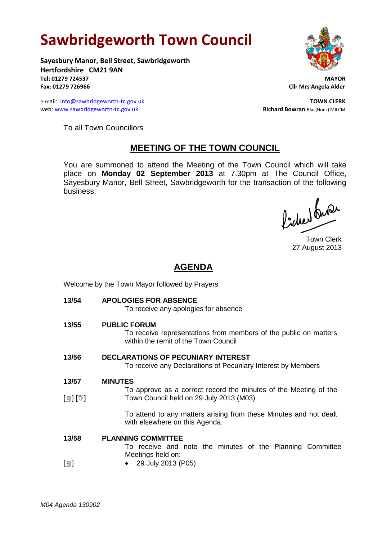## **Sawbridgeworth Town Council**

**Sayesbury Manor, Bell Street, Sawbridgeworth Hertfordshire CM21 9AN Tel: 01279 724537 MAYOR Fax: 01279 726966 Cllr Mrs Angela Alder**

e-mail: [info@sawbridgeworth-tc.gov.uk](mailto:info@sawbridgeworth-tc.gov.uk) **TOWN CLERK TOWN CLERK** web: www.sawbridgeworth-tc.gov.uk **Richard Bowran** BSc.(Hons) MILCM



To all Town Councillors

## **MEETING OF THE TOWN COUNCIL**

You are summoned to attend the Meeting of the Town Council which will take place on **Monday 02 September 2013** at 7.30pm at The Council Office, Sayesbury Manor, Bell Street, Sawbridgeworth for the transaction of the following business.

Picked fune

Town Clerk 27 August 2013

## **AGENDA**

| Welcome by the Town Mayor followed by Prayers |                                                                                                                                 |
|-----------------------------------------------|---------------------------------------------------------------------------------------------------------------------------------|
| 13/54                                         | <b>APOLOGIES FOR ABSENCE</b><br>To receive any apologies for absence                                                            |
| 13/55                                         | <b>PUBLIC FORUM</b><br>To receive representations from members of the public on matters<br>within the remit of the Town Council |
| 13/56                                         | <b>DECLARATIONS OF PECUNIARY INTEREST</b><br>To receive any Declarations of Pecuniary Interest by Members                       |
| 13/57                                         | <b>MINUTES</b>                                                                                                                  |
| $\mathbb{D}[\mathbb{D}^1]$                    | To approve as a correct record the minutes of the Meeting of the<br>Town Council held on 29 July 2013 (M03)                     |
|                                               | To attend to any matters arising from these Minutes and not dealt<br>with elsewhere on this Agenda.                             |
| 13/58                                         | <b>PLANNING COMMITTEE</b>                                                                                                       |
|                                               | To receive and note the minutes of the Planning Committee                                                                       |
| $[\blacksquare]$                              | Meetings held on:<br>29 July 2013 (P05)                                                                                         |